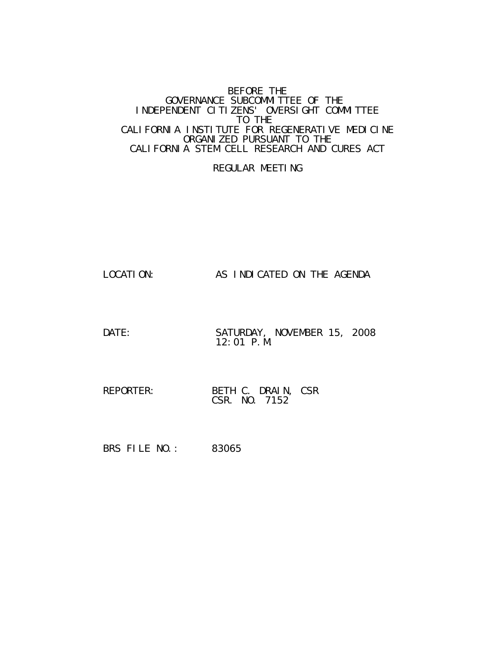#### BEFORE THE GOVERNANCE SUBCOMMITTEE OF THE INDEPENDENT CITIZENS' OVERSIGHT COMMITTEE TO THE CALIFORNIA INSTITUTE FOR REGENERATIVE MEDICINE ORGANIZED PURSUANT TO THE CALIFORNIA STEM CELL RESEARCH AND CURES ACT

### REGULAR MEETING

- LOCATION: AS INDICATED ON THE AGENDA
- DATE: SATURDAY, NOVEMBER 15, 2008 12:01 P.M.
- REPORTER: BETH C. DRAIN, CSR CSR. NO. 7152
- BRS FILE NO.: 83065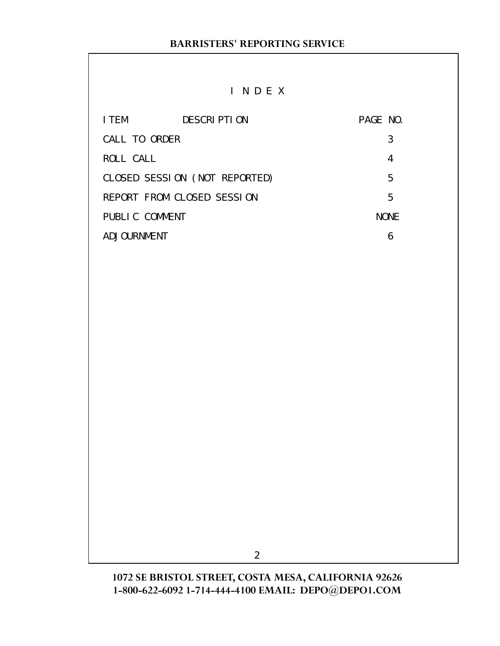# I N D E X

| I TEM          | DESCRIPTION                   | PAGE NO. |             |
|----------------|-------------------------------|----------|-------------|
| CALL TO ORDER  |                               |          | 3           |
| ROLL CALL      |                               |          | 4           |
|                | CLOSED SESSION (NOT REPORTED) |          | 5           |
|                | REPORT FROM CLOSED SESSION    |          | 5           |
| PUBLIC COMMENT |                               |          | <b>NONE</b> |
| ADJOURNMENT    |                               |          |             |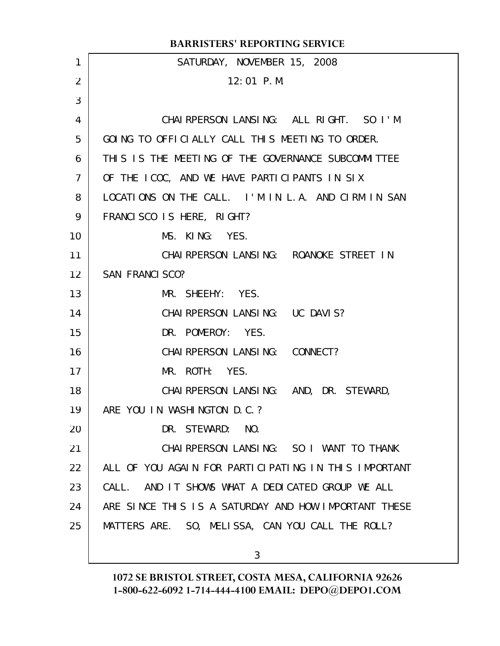|                | <b>BARRISTERS' REPORTING SERVICE</b>                 |
|----------------|------------------------------------------------------|
| 1              | SATURDAY, NOVEMBER 15, 2008                          |
| 2              | $12:01$ P.M.                                         |
| 3              |                                                      |
| 4              | CHAIRPERSON LANSING: ALL RIGHT. SO I'M               |
| 5              | GOING TO OFFICIALLY CALL THIS MEETING TO ORDER.      |
| 6              | THIS IS THE MEETING OF THE GOVERNANCE SUBCOMMITTEE   |
| $\overline{7}$ | OF THE ICOC, AND WE HAVE PARTICIPANTS IN SIX         |
| 8              | LOCATIONS ON THE CALL. I'M IN L.A. AND CIRM IN SAN   |
| 9              | FRANCISCO IS HERE, RIGHT?                            |
| 10             | MS. KING: YES.                                       |
| 11             | CHAI RPERSON LANSING: ROANOKE STREET IN              |
| 12             | <b>SAN FRANCI SCO?</b>                               |
| 13             | MR. SHEEHY: YES.                                     |
| 14             | CHAI RPERSON LANSING: UC DAVIS?                      |
| 15             | DR. POMEROY: YES.                                    |
| 16             | CHAI RPERSON LANSING: CONNECT?                       |
| 17             | MR. ROTH: YES.                                       |
| 18             | CHAI RPERSON LANSING: AND, DR. STEWARD,              |
| 19             | ARE YOU IN WASHINGTON D.C.?                          |
| 20             | DR. STEWARD:<br>NO.                                  |
| 21             | CHAI RPERSON LANSING: SO I WANT TO THANK             |
| 22             | ALL OF YOU AGAIN FOR PARTICIPATING IN THIS IMPORTANT |
| 23             | CALL. AND IT SHOWS WHAT A DEDICATED GROUP WE ALL     |
| 24             | ARE SINCE THIS IS A SATURDAY AND HOW IMPORTANT THESE |
| 25             | MATTERS ARE. SO, MELISSA, CAN YOU CALL THE ROLL?     |
|                | 3                                                    |
|                |                                                      |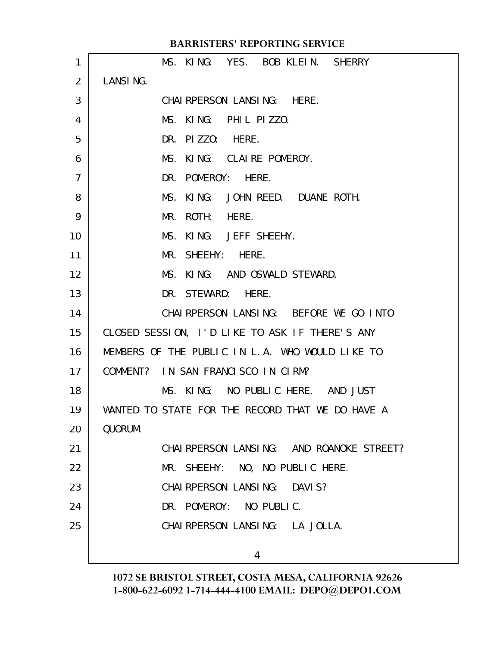|                | <b>BARRISTERS' REPORTING SERVICE</b>             |
|----------------|--------------------------------------------------|
| 1              | MS. KING: YES. BOB KLEIN. SHERRY                 |
| 2              | LANSING.                                         |
| 3              | CHAI RPERSON LANSING: HERE.                      |
| $\overline{4}$ | MS. KING: PHIL PIZZO.                            |
| 5              | DR. PIZZO: HERE.                                 |
| 6              | MS.<br>KING: CLAIRE POMEROY.                     |
| $\overline{7}$ | DR. POMEROY: HERE.                               |
| 8              | KING: JOHN REED. DUANE ROTH.<br>MS.              |
| 9              | ROTH: HERE.<br>MR.                               |
| 10             | KING: JEFF SHEEHY.<br>MS.                        |
| 11             | MR. SHEEHY: HERE.                                |
| 12             | MS. KING: AND OSWALD STEWARD.                    |
| 13             | DR. STEWARD: HERE.                               |
| 14             | CHAI RPERSON LANSING: BEFORE WE GO INTO          |
| 15             | CLOSED SESSION, I'D LIKE TO ASK IF THERE'S ANY   |
| 16             | MEMBERS OF THE PUBLIC IN L.A. WHO WOULD LIKE TO  |
| 17             | COMMENT? IN SAN FRANCISCO IN CIRM?               |
| 18             | KING: NO PUBLIC HERE. AND JUST<br>MS.            |
| 19             | WANTED TO STATE FOR THE RECORD THAT WE DO HAVE A |
| 20             | QUORUM.                                          |
| 21             | CHAI RPERSON LANSING: AND ROANOKE STREET?        |
| 22             | MR. SHEEHY: NO, NO PUBLIC HERE.                  |
| 23             | CHAI RPERSON LANSING: DAVIS?                     |
| 24             | DR. POMEROY: NO PUBLIC.                          |
| 25             | CHAI RPERSON LANSING: LA JOLLA.                  |
|                | 4                                                |
|                |                                                  |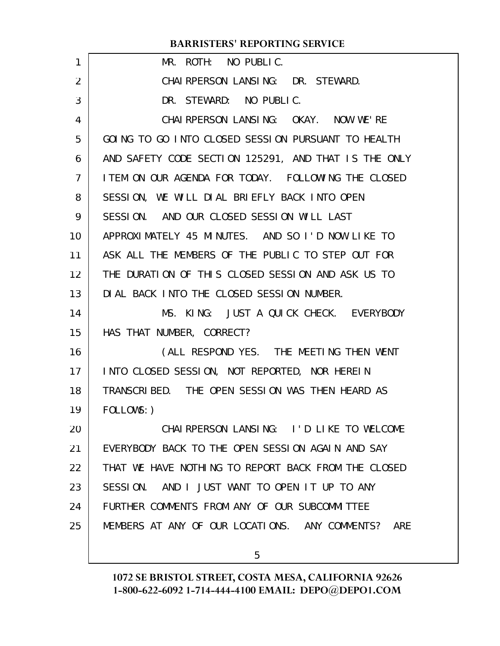### **BARRISTERS' REPORTING SERVICE**

| 1               | MR. ROTH: NO PUBLIC.                                 |
|-----------------|------------------------------------------------------|
| $\overline{2}$  | CHAI RPERSON LANSING: DR. STEWARD.                   |
| 3               | DR. STEWARD: NO PUBLIC.                              |
| 4               | CHAI RPERSON LANSING: OKAY. NOW WE'RE                |
| 5               | GOING TO GO INTO CLOSED SESSION PURSUANT TO HEALTH   |
| 6               | AND SAFETY CODE SECTION 125291, AND THAT IS THE ONLY |
| $\overline{7}$  | I TEM ON OUR AGENDA FOR TODAY. FOLLOWING THE CLOSED  |
| 8               | SESSION, WE WILL DIAL BRIEFLY BACK INTO OPEN         |
| 9               | SESSION. AND OUR CLOSED SESSION WILL LAST            |
| 10              | APPROXIMATELY 45 MINUTES. AND SO I'D NOW LIKE TO     |
| 11              | ASK ALL THE MEMBERS OF THE PUBLIC TO STEP OUT FOR    |
| 12 <sup>2</sup> | THE DURATION OF THIS CLOSED SESSION AND ASK US TO    |
| 13              | DIAL BACK INTO THE CLOSED SESSION NUMBER.            |
| 14              | MS. KING: JUST A QUICK CHECK. EVERYBODY              |
| 15              | HAS THAT NUMBER, CORRECT?                            |
| 16              | (ALL RESPOND YES. THE MEETING THEN WENT              |
| 17              | INTO CLOSED SESSION, NOT REPORTED, NOR HEREIN        |
| 18              | TRANSCRIBED. THE OPEN SESSION WAS THEN HEARD AS      |
| 19              | FOLLOWS: )                                           |
| 20              | CHAIRPERSON LANSING: I'D LIKE TO WELCOME             |
| 21              | EVERYBODY BACK TO THE OPEN SESSION AGAIN AND SAY     |
| 22              | THAT WE HAVE NOTHING TO REPORT BACK FROM THE CLOSED  |
| 23              | SESSION. AND I JUST WANT TO OPEN IT UP TO ANY        |
| 24              | FURTHER COMMENTS FROM ANY OF OUR SUBCOMMITTEE        |
| 25              | MEMBERS AT ANY OF OUR LOCATIONS. ANY COMMENTS? ARE   |
|                 |                                                      |

5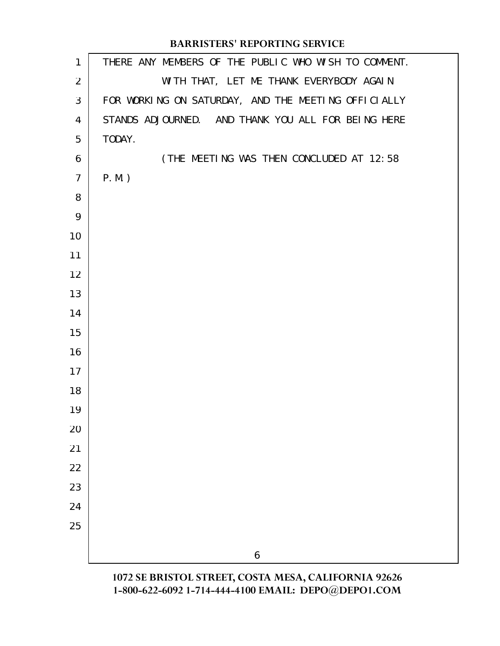## **BARRISTERS' REPORTING SERVICE**

| $\mathbf{1}$   | THERE ANY MEMBERS OF THE PUBLIC WHO WISH TO COMMENT. |
|----------------|------------------------------------------------------|
| 2              | WITH THAT, LET ME THANK EVERYBODY AGAIN              |
| 3              | FOR WORKING ON SATURDAY, AND THE MEETING OFFICIALLY  |
| 4              | STANDS ADJOURNED. AND THANK YOU ALL FOR BEING HERE   |
| 5              | TODAY.                                               |
| 6              | (THE MEETING WAS THEN CONCLUDED AT 12:58             |
| $\overline{7}$ | $P.M.$ )                                             |
| 8              |                                                      |
| 9              |                                                      |
| 10             |                                                      |
| 11             |                                                      |
| 12             |                                                      |
| 13             |                                                      |
| 14             |                                                      |
| 15             |                                                      |
| 16             |                                                      |
| 17             |                                                      |
| 18             |                                                      |
| 19             |                                                      |
| 20<br>21       |                                                      |
| 22             |                                                      |
| 23             |                                                      |
| 24             |                                                      |
| 25             |                                                      |
|                |                                                      |
|                | 6                                                    |
|                | 1072 SE BRISTOL STREET, COSTA MESA, CALIFORNIA 92626 |

**1-800-622-6092 1-714-444-4100 EMAIL: DEPO@DEPO1.COM**